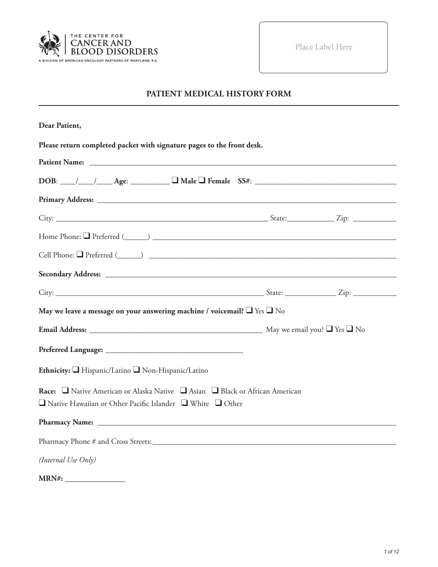

Place Label Here

# **PATIENT MEDICAL HISTORY FORM**

| Dear Patient,                                                                                                                                              |  |
|------------------------------------------------------------------------------------------------------------------------------------------------------------|--|
| Please return completed packet with signature pages to the front desk.                                                                                     |  |
|                                                                                                                                                            |  |
| $DOB:$ $\_\_\_\_\_\_\_\_\_\_\_\_\_\_\_\_$ Age: $\_\_\_\_\_\_\_\_\_\_\_\_\_\_\_\_\_\_$ Female $SS#:$ $\_\_\_\_\_\_\_\_\_\_\_\_\_\_\_\_\_\_\_\_\_\_$         |  |
|                                                                                                                                                            |  |
|                                                                                                                                                            |  |
|                                                                                                                                                            |  |
|                                                                                                                                                            |  |
|                                                                                                                                                            |  |
|                                                                                                                                                            |  |
| May we leave a message on your answering machine / voicemail? $\Box$ Yes $\Box$ No                                                                         |  |
|                                                                                                                                                            |  |
|                                                                                                                                                            |  |
| Ethnicity: Hispanic/Latino Non-Hispanic/Latino                                                                                                             |  |
| Race: □ Native American or Alaska Native □ Asian □ Black or African American<br>$\Box$ Native Hawaiian or Other Pacific Islander $\Box$ White $\Box$ Other |  |
|                                                                                                                                                            |  |
|                                                                                                                                                            |  |
| (Internal Use Only)                                                                                                                                        |  |
|                                                                                                                                                            |  |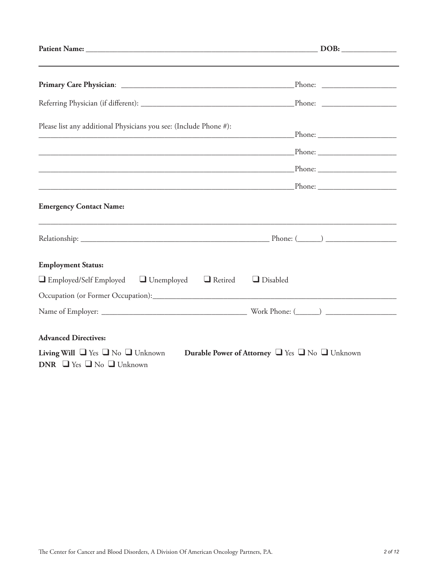| Please list any additional Physicians you see: (Include Phone #):<br><u> 2000 - Andrea Andrew Maria (h. 18</u>                                    |  |
|---------------------------------------------------------------------------------------------------------------------------------------------------|--|
|                                                                                                                                                   |  |
|                                                                                                                                                   |  |
|                                                                                                                                                   |  |
| <b>Emergency Contact Name:</b>                                                                                                                    |  |
|                                                                                                                                                   |  |
| <b>Employment Status:</b>                                                                                                                         |  |
| $\Box$ Employed/Self Employed $\Box$ Unemployed $\Box$ Retired<br>$\Box$ Disabled                                                                 |  |
|                                                                                                                                                   |  |
|                                                                                                                                                   |  |
| <b>Advanced Directives:</b>                                                                                                                       |  |
| <b>Living Will</b> $\Box$ Yes $\Box$ No $\Box$ Unknown<br>Durable Power of Attorney U Yes U No Unknown<br>DNR $\Box$ Yes $\Box$ No $\Box$ Unknown |  |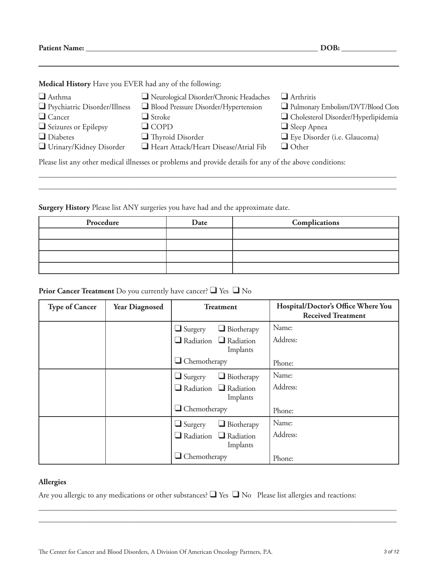**Patient Name: \_\_\_\_\_\_\_\_\_\_\_\_\_\_\_\_\_\_\_\_\_\_\_\_\_\_\_\_\_\_\_\_\_\_\_\_\_\_\_\_\_\_\_\_\_\_\_\_\_\_\_\_\_\_\_\_\_\_\_ DOB: \_\_\_\_\_\_\_\_\_\_\_\_\_\_**

**Medical History** Have you EVER had any of the following:

| $\Box$ Asthma                                                                                            | Neurological Disorder/Chronic Headaches | $\Box$ Arthritis                    |
|----------------------------------------------------------------------------------------------------------|-----------------------------------------|-------------------------------------|
| $\Box$ Psychiatric Disorder/Illness                                                                      | Blood Pressure Disorder/Hypertension    | Pulmonary Embolism/DVT/Blood Clots  |
| $\Box$ Cancer                                                                                            | $\Box$ Stroke                           | Cholesterol Disorder/Hyperlipidemia |
| $\Box$ Seizures or Epilepsy                                                                              | $\Box$ COPD                             | $\Box$ Sleep Apnea                  |
| $\Box$ Diabetes                                                                                          | $\Box$ Thyroid Disorder                 | Eye Disorder (i.e. Glaucoma)        |
| $\Box$ Urinary/Kidney Disorder                                                                           | Heart Attack/Heart Disease/Atrial Fib   | $\Box$ Other                        |
| Please list any other medical illnesses or problems and provide details for any of the above conditions: |                                         |                                     |

\_\_\_\_\_\_\_\_\_\_\_\_\_\_\_\_\_\_\_\_\_\_\_\_\_\_\_\_\_\_\_\_\_\_\_\_\_\_\_\_\_\_\_\_\_\_\_\_\_\_\_\_\_\_\_\_\_\_\_\_\_\_\_\_\_\_\_\_\_\_\_\_\_\_\_\_\_\_\_\_\_\_\_\_\_\_\_\_\_\_\_ \_\_\_\_\_\_\_\_\_\_\_\_\_\_\_\_\_\_\_\_\_\_\_\_\_\_\_\_\_\_\_\_\_\_\_\_\_\_\_\_\_\_\_\_\_\_\_\_\_\_\_\_\_\_\_\_\_\_\_\_\_\_\_\_\_\_\_\_\_\_\_\_\_\_\_\_\_\_\_\_\_\_\_\_\_\_\_\_\_\_\_

**Surgery History** Please list ANY surgeries you have had and the approximate date.

| Procedure | Date | Complications |
|-----------|------|---------------|
|           |      |               |
|           |      |               |
|           |      |               |
|           |      |               |

# **Prior Cancer Treatment** Do you currently have cancer? ❑ Yes ❑ No

| <b>Type of Cancer</b> | <b>Year Diagnosed</b> | <b>Treatment</b>                              | Hospital/Doctor's Office Where You<br><b>Received Treatment</b> |
|-----------------------|-----------------------|-----------------------------------------------|-----------------------------------------------------------------|
|                       |                       | $\Box$ Biotherapy<br>$\Box$ Surgery           | Name:                                                           |
|                       |                       | $\Box$ Radiation $\Box$ Radiation<br>Implants | Address:                                                        |
|                       |                       | $\Box$ Chemotherapy                           | Phone:                                                          |
|                       |                       | $\Box$ Biotherapy<br>$\Box$ Surgery           | Name:                                                           |
|                       |                       | $\Box$ Radiation $\Box$ Radiation<br>Implants | Address:                                                        |
|                       |                       | $\Box$ Chemotherapy                           | Phone:                                                          |
|                       |                       | $\Box$ Biotherapy<br>$\Box$ Surgery           | Name:                                                           |
|                       |                       | $\Box$ Radiation $\Box$ Radiation<br>Implants | Address:                                                        |
|                       |                       | $\Box$ Chemotherapy                           | Phone:                                                          |

#### **Allergies**

Are you allergic to any medications or other substances? ❑ Yes ❑ No Please list allergies and reactions:

\_\_\_\_\_\_\_\_\_\_\_\_\_\_\_\_\_\_\_\_\_\_\_\_\_\_\_\_\_\_\_\_\_\_\_\_\_\_\_\_\_\_\_\_\_\_\_\_\_\_\_\_\_\_\_\_\_\_\_\_\_\_\_\_\_\_\_\_\_\_\_\_\_\_\_\_\_\_\_\_\_\_\_\_\_\_\_\_\_\_\_ \_\_\_\_\_\_\_\_\_\_\_\_\_\_\_\_\_\_\_\_\_\_\_\_\_\_\_\_\_\_\_\_\_\_\_\_\_\_\_\_\_\_\_\_\_\_\_\_\_\_\_\_\_\_\_\_\_\_\_\_\_\_\_\_\_\_\_\_\_\_\_\_\_\_\_\_\_\_\_\_\_\_\_\_\_\_\_\_\_\_\_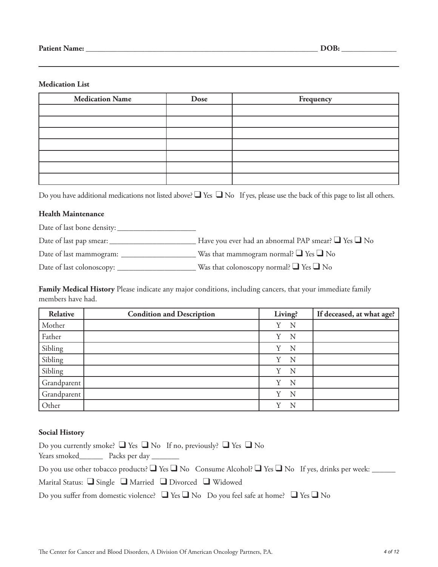#### **Medication List**

| <b>Medication Name</b> | Dose | Frequency |
|------------------------|------|-----------|
|                        |      |           |
|                        |      |           |
|                        |      |           |
|                        |      |           |
|                        |      |           |
|                        |      |           |
|                        |      |           |

Do you have additional medications not listed above? ■ Yes ■ No If yes, please use the back of this page to list all others.

#### **Health Maintenance**

Date of last bone density: \_\_\_\_\_\_\_\_\_\_\_\_\_\_\_\_\_\_\_\_

Date of last pap smear: \_\_\_\_\_\_\_\_\_\_\_\_\_\_\_\_\_\_\_\_\_\_ Have you ever had an abnormal PAP smear? ❑ Yes ❑ No

Date of last mammogram: \_\_\_\_\_\_\_\_\_\_\_\_\_\_\_\_\_\_\_ Was that mammogram normal? ❑ Yes ❑ No

Date of last colonoscopy: \_\_\_\_\_\_\_\_\_\_\_\_\_\_\_\_\_\_\_\_ Was that colonoscopy normal? ❑ Yes ❑ No

**Family Medical History** Please indicate any major conditions, including cancers, that your immediate family members have had.

| Relative    | <b>Condition and Description</b> | Living? | If deceased, at what age? |
|-------------|----------------------------------|---------|---------------------------|
| Mother      |                                  | N<br>Y  |                           |
| Father      |                                  | Y<br>N  |                           |
| Sibling     |                                  | Y<br>N  |                           |
| Sibling     |                                  | Y<br>N  |                           |
| Sibling     |                                  | N<br>Y  |                           |
| Grandparent |                                  | N<br>Y  |                           |
| Grandparent |                                  | N<br>Y  |                           |
| Other       |                                  | v<br>N  |                           |

#### **Social History**

| Do you currently smoke? $\Box$ Yes $\Box$ No If no, previously? $\Box$ Yes $\Box$ No                                   |
|------------------------------------------------------------------------------------------------------------------------|
| Years smoked Packs per day                                                                                             |
| Do you use other tobacco products? $\Box$ Yes $\Box$ No Consume Alcohol? $\Box$ Yes $\Box$ No If yes, drinks per week: |
| Marital Status: $\Box$ Single $\Box$ Married $\Box$ Divorced $\Box$ Widowed                                            |
| Do you suffer from domestic violence? $\Box$ Yes $\Box$ No Do you feel safe at home? $\Box$ Yes $\Box$ No              |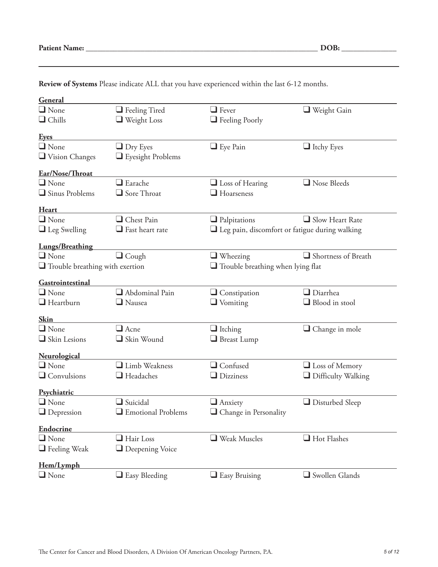| General                                |                          |                                                       |                                          |  |
|----------------------------------------|--------------------------|-------------------------------------------------------|------------------------------------------|--|
| $\Box$ None                            | $\Box$ Feeling Tired     | $\Box$ Fever                                          | $\Box$ Weight Gain                       |  |
| $\Box$ Chills                          | $\Box$ Weight Loss       | $\Box$ Feeling Poorly                                 |                                          |  |
| <b>Eyes</b>                            |                          |                                                       |                                          |  |
| $\Box$ None                            | $\Box$ Dry Eyes          | $\Box$ Eye Pain                                       | $\Box$ Itchy Eyes                        |  |
| Vision Changes                         | $\Box$ Eyesight Problems |                                                       |                                          |  |
|                                        |                          |                                                       |                                          |  |
| Ear/Nose/Throat<br>$\Box$ None         | $\Box$ Earache           |                                                       | Nose Bleeds                              |  |
| Sinus Problems                         | $\Box$ Sore Throat       | $\Box$ Loss of Hearing<br>$\Box$ Hoarseness           |                                          |  |
|                                        |                          |                                                       |                                          |  |
| Heart                                  |                          |                                                       |                                          |  |
| $\Box$ None                            | Chest Pain               | $\Box$ Palpitations                                   | $\Box$ Slow Heart Rate                   |  |
| $\Box$ Leg Swelling                    | $\Box$ Fast heart rate   | $\Box$ Leg pain, discomfort or fatigue during walking |                                          |  |
| <b>Lungs/Breathing</b>                 |                          |                                                       |                                          |  |
| $\Box$ None                            | $\Box$ Cough             | $\Box$ Wheezing                                       | Shortness of Breath                      |  |
| $\Box$ Trouble breathing with exertion |                          |                                                       | $\Box$ Trouble breathing when lying flat |  |
| Gastrointestinal                       |                          |                                                       |                                          |  |
| $\Box$ None                            | $\Box$ Abdominal Pain    | $\Box$ Constipation                                   | $\Box$ Diarrhea                          |  |
| $\Box$ Heartburn                       | $\Box$ Nausea            | $\Box$ Vomiting                                       | $\Box$ Blood in stool                    |  |
|                                        |                          |                                                       |                                          |  |
| <b>Skin</b><br>$\Box$ None             | $\Box$ Acne              |                                                       |                                          |  |
|                                        |                          | $\Box$ Itching                                        | $\Box$ Change in mole                    |  |
| Skin Lesions                           | Skin Wound               | $\Box$ Breast Lump                                    |                                          |  |
| <b>Neurological</b>                    |                          |                                                       |                                          |  |
| $\Box$ None                            | Limb Weakness            | $\Box$ Confused                                       | $\Box$ Loss of Memory                    |  |
| $\Box$ Convulsions                     | $\Box$ Headaches         | $\Box$ Dizziness                                      | $\Box$ Difficulty Walking                |  |
| Psychiatric                            |                          |                                                       |                                          |  |
| $\Box$ None                            | $\Box$ Suicidal          | $\Box$ Anxiety                                        | $\Box$ Disturbed Sleep                   |  |
| $\Box$ Depression                      | Emotional Problems       | Change in Personality                                 |                                          |  |
| Endocrine                              |                          |                                                       |                                          |  |
| $\Box$ None                            | $\Box$ Hair Loss         | Weak Muscles                                          | $\Box$ Hot Flashes                       |  |
| $\Box$ Feeling Weak                    | Deepening Voice          |                                                       |                                          |  |
| Hem/Lymph                              |                          |                                                       |                                          |  |
| $\Box$ None                            | $\Box$ Easy Bleeding     | $\Box$ Easy Bruising                                  | $\Box$ Swollen Glands                    |  |
|                                        |                          |                                                       |                                          |  |

**Review of Systems** Please indicate ALL that you have experienced within the last 6-12 months.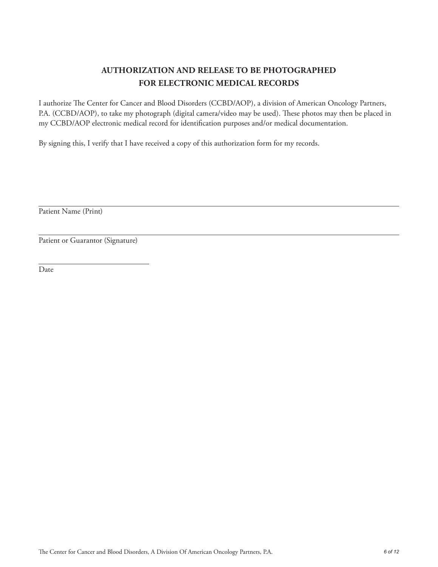# **AUTHORIZATION AND RELEASE TO BE PHOTOGRAPHED FOR ELECTRONIC MEDICAL RECORDS**

I authorize The Center for Cancer and Blood Disorders (CCBD/AOP), a division of American Oncology Partners, P.A. (CCBD/AOP), to take my photograph (digital camera/video may be used). These photos may then be placed in my CCBD/AOP electronic medical record for identification purposes and/or medical documentation.

By signing this, I verify that I have received a copy of this authorization form for my records.

Patient Name (Print)

Patient or Guarantor (Signature)

Date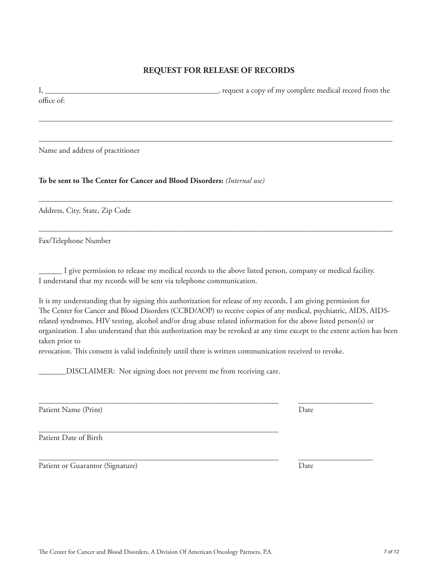# **REQUEST FOR RELEASE OF RECORDS**

I, \_\_\_\_\_\_\_\_\_\_\_\_\_\_\_\_\_\_\_\_\_\_\_\_\_\_\_\_\_\_\_\_\_\_\_\_\_\_\_\_\_\_\_\_, request a copy of my complete medical record from the office of:

––––––––––––––––––––––––––––––––––––––––––––––––––––––––––––––––––––––––––––––––––––––––––

––––––––––––––––––––––––––––––––––––––––––––––––––––––––––––––––––––––––––––––––––––––––––

––––––––––––––––––––––––––––––––––––––––––––––––––––––––––––––––––––––––––––––––––––––––––

––––––––––––––––––––––––––––––––––––––––––––––––––––––––––––––––––––––––––––––––––––––––––

Name and address of practitioner

#### **To be sent to The Center for Cancer and Blood Disorders:** *(Internal use)*

Address, City, State, Zip Code

Fax/Telephone Number

\_\_\_\_\_\_ I give permission to release my medical records to the above listed person, company or medical facility. I understand that my records will be sent via telephone communication.

It is my understanding that by signing this authorization for release of my records, I am giving permission for The Center for Cancer and Blood Disorders (CCBD/AOP) to receive copies of any medical, psychiatric, AIDS, AIDSrelated syndromes, HIV testing, alcohol and/or drug abuse related information for the above listed person(s) or organization. I also understand that this authorization may be revoked at any time except to the extent action has been taken prior to

revocation. This consent is valid indefinitely until there is written communication received to revoke.

\_\_\_\_\_\_\_\_\_\_\_\_\_\_\_\_\_\_\_\_\_\_\_\_\_\_\_\_\_\_\_\_\_\_\_\_\_\_\_\_\_\_\_\_\_\_\_\_\_\_\_\_\_\_\_\_\_\_\_\_\_ \_\_\_\_\_\_\_\_\_\_\_\_\_\_\_\_\_\_\_

\_\_\_\_\_\_\_\_\_\_\_\_\_\_\_\_\_\_\_\_\_\_\_\_\_\_\_\_\_\_\_\_\_\_\_\_\_\_\_\_\_\_\_\_\_\_\_\_\_\_\_\_\_\_\_\_\_\_\_\_\_ \_\_\_\_\_\_\_\_\_\_\_\_\_\_\_\_\_\_\_

\_\_\_\_\_\_\_DISCLAIMER: Not signing does not prevent me from receiving care.

\_\_\_\_\_\_\_\_\_\_\_\_\_\_\_\_\_\_\_\_\_\_\_\_\_\_\_\_\_\_\_\_\_\_\_\_\_\_\_\_\_\_\_\_\_\_\_\_\_\_\_\_\_\_\_\_\_\_\_\_\_

Patient Name (Print) Date

Patient Date of Birth

Patient or Guarantor (Signature) Date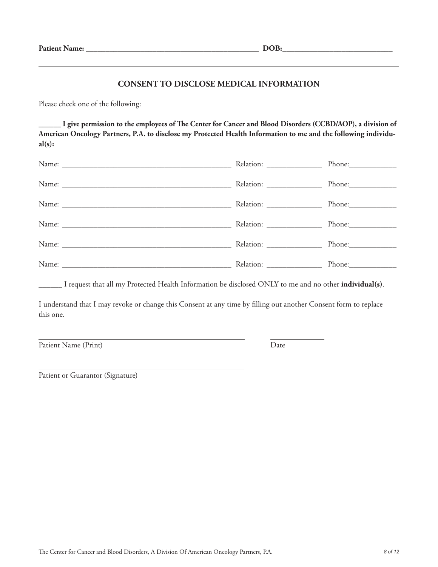#### **CONSENT TO DISCLOSE MEDICAL INFORMATION**

Please check one of the following:

**\_\_\_\_\_\_ I give permission to the employees of The Center for Cancer and Blood Disorders (CCBD/AOP), a division of American Oncology Partners, P.A. to disclose my Protected Health Information to me and the following individual(s):**

| Relation: ___________________ |        |
|-------------------------------|--------|
|                               | Phone: |
|                               |        |
| Relation: ___________________ |        |
|                               |        |
|                               |        |

\_\_\_\_\_\_ I request that all my Protected Health Information be disclosed ONLY to me and no other **individual(s)**.

I understand that I may revoke or change this Consent at any time by filling out another Consent form to replace this one.

Patient Name (Print) Date

Patient or Guarantor (Signature)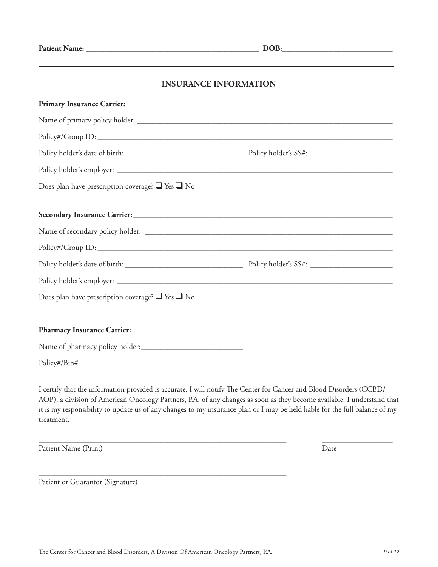| <b>Patient Name:</b> |  |
|----------------------|--|
|----------------------|--|

**POB:\_\_\_\_\_\_\_\_\_\_\_\_\_\_\_\_\_\_\_\_\_\_\_\_\_\_\_** 

# **INSURANCE INFORMATION**

| Does plan have prescription coverage? $\Box$ Yes $\Box$ No |  |
|------------------------------------------------------------|--|
|                                                            |  |
|                                                            |  |
|                                                            |  |
|                                                            |  |
|                                                            |  |
|                                                            |  |
| Does plan have prescription coverage? $\Box$ Yes $\Box$ No |  |
|                                                            |  |
|                                                            |  |
|                                                            |  |
| $Policy\#/Bin\#$                                           |  |

I certify that the information provided is accurate. I will notify The Center for Cancer and Blood Disorders (CCBD/ AOP), a division of American Oncology Partners, P.A. of any changes as soon as they become available. I understand that it is my responsibility to update us of any changes to my insurance plan or I may be held liable for the full balance of my treatment.

\_\_\_\_\_\_\_\_\_\_\_\_\_\_\_\_\_\_\_\_\_\_\_\_\_\_\_\_\_\_\_\_\_\_\_\_\_\_\_\_\_\_\_\_\_\_\_\_\_\_\_\_\_\_\_\_\_\_\_\_\_\_\_ \_\_\_\_\_\_\_\_\_\_\_\_\_\_\_\_\_\_

Patient Name (Print) Date

Patient or Guarantor (Signature)

\_\_\_\_\_\_\_\_\_\_\_\_\_\_\_\_\_\_\_\_\_\_\_\_\_\_\_\_\_\_\_\_\_\_\_\_\_\_\_\_\_\_\_\_\_\_\_\_\_\_\_\_\_\_\_\_\_\_\_\_\_\_\_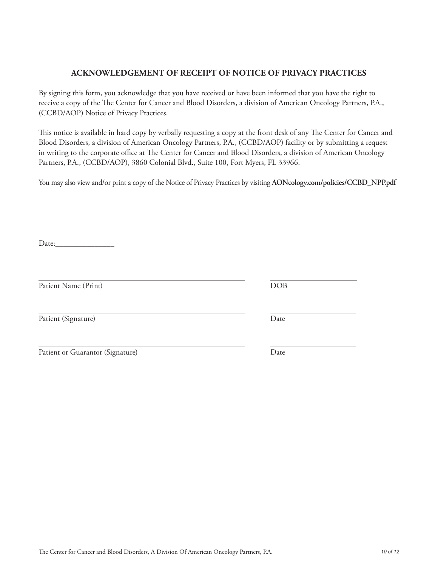# **ACKNOWLEDGEMENT OF RECEIPT OF NOTICE OF PRIVACY PRACTICES**

By signing this form, you acknowledge that you have received or have been informed that you have the right to receive a copy of the The Center for Cancer and Blood Disorders, a division of American Oncology Partners, P.A., (CCBD/AOP) Notice of Privacy Practices.

This notice is available in hard copy by verbally requesting a copy at the front desk of any The Center for Cancer and Blood Disorders, a division of American Oncology Partners, P.A., (CCBD/AOP) facility or by submitting a request in writing to the corporate office at The Center for Cancer and Blood Disorders, a division of American Oncology Partners, P.A., (CCBD/AOP), 3860 Colonial Blvd., Suite 100, Fort Myers, FL 33966.

You may also view and/or print a copy of the Notice of Privacy Practices by visiting **AONcology.com/policies/CCBD\_NPP.pdf**

Date:

Patient Name (Print) DOB

Patient (Signature) Date

| Patient or Guarantor (Signature) |  |
|----------------------------------|--|
|                                  |  |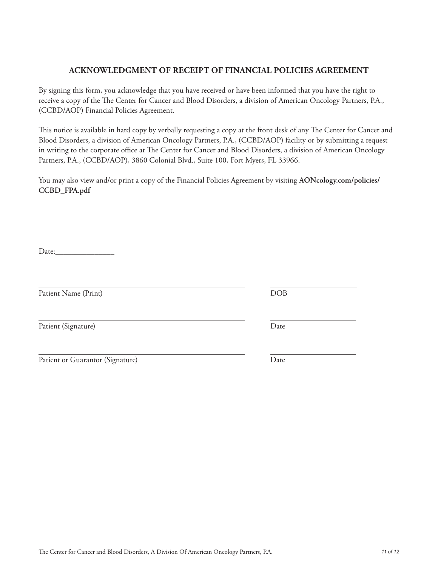# The Center for Cancer and Blood Disorders, A Division Of American Oncology Partners, P.A. *11 of 12*

# **ACKNOWLEDGMENT OF RECEIPT OF FINANCIAL POLICIES AGREEMENT**

By signing this form, you acknowledge that you have received or have been informed that you have the right to receive a copy of the The Center for Cancer and Blood Disorders, a division of American Oncology Partners, P.A., (CCBD/AOP) Financial Policies Agreement.

This notice is available in hard copy by verbally requesting a copy at the front desk of any The Center for Cancer and Blood Disorders, a division of American Oncology Partners, P.A., (CCBD/AOP) facility or by submitting a request in writing to the corporate office at The Center for Cancer and Blood Disorders, a division of American Oncology Partners, P.A., (CCBD/AOP), 3860 Colonial Blvd., Suite 100, Fort Myers, FL 33966.

You may also view and/or print a copy of the Financial Policies Agreement by visiting **AONcology.com/policies/ CCBD\_FPA.pdf**

Date:\_\_\_\_\_\_\_\_\_\_\_\_\_\_\_

Patient Name (Print) DOB

Patient (Signature) Date

Patient or Guarantor (Signature) Date